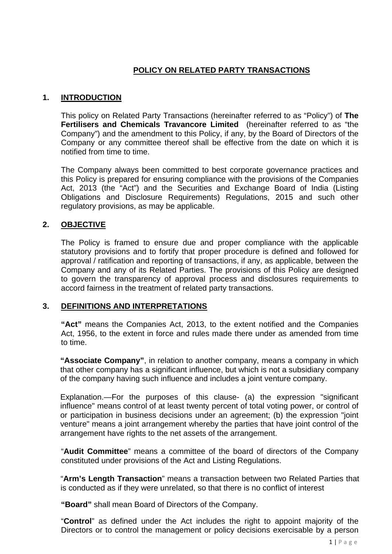# **POLICY ON RELATED PARTY TRANSACTIONS**

### **1. INTRODUCTION**

This policy on Related Party Transactions (hereinafter referred to as "Policy") of **The Fertilisers and Chemicals Travancore Limited** (hereinafter referred to as "the Company") and the amendment to this Policy, if any, by the Board of Directors of the Company or any committee thereof shall be effective from the date on which it is notified from time to time.

The Company always been committed to best corporate governance practices and this Policy is prepared for ensuring compliance with the provisions of the Companies Act, 2013 (the "Act") and the Securities and Exchange Board of India (Listing Obligations and Disclosure Requirements) Regulations, 2015 and such other regulatory provisions, as may be applicable.

### **2. OBJECTIVE**

The Policy is framed to ensure due and proper compliance with the applicable statutory provisions and to fortify that proper procedure is defined and followed for approval / ratification and reporting of transactions, if any, as applicable, between the Company and any of its Related Parties. The provisions of this Policy are designed to govern the transparency of approval process and disclosures requirements to accord fairness in the treatment of related party transactions.

### **3. DEFINITIONS AND INTERPRETATIONS**

**"Act"** means the Companies Act, 2013, to the extent notified and the Companies Act, 1956, to the extent in force and rules made there under as amended from time to time.

**"Associate Company"**, in relation to another company, means a company in which that other company has a significant influence, but which is not a subsidiary company of the company having such influence and includes a joint venture company.

Explanation.—For the purposes of this clause- (a) the expression "significant influence" means control of at least twenty percent of total voting power, or control of or participation in business decisions under an agreement; (b) the expression "joint venture" means a joint arrangement whereby the parties that have joint control of the arrangement have rights to the net assets of the arrangement.

"**Audit Committee**" means a committee of the board of directors of the Company constituted under provisions of the Act and Listing Regulations.

"**Arm's Length Transaction**" means a transaction between two Related Parties that is conducted as if they were unrelated, so that there is no conflict of interest

**"Board"** shall mean Board of Directors of the Company.

"**Control**" as defined under the Act includes the right to appoint majority of the Directors or to control the management or policy decisions exercisable by a person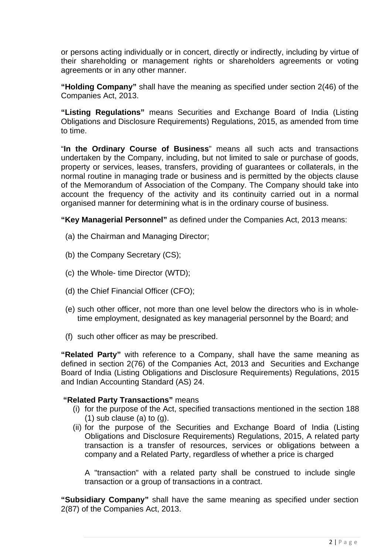or persons acting individually or in concert, directly or indirectly, including by virtue of their shareholding or management rights or shareholders agreements or voting agreements or in any other manner.

**"Holding Company"** shall have the meaning as specified under section 2(46) of the Companies Act, 2013.

**"Listing Regulations"** means Securities and Exchange Board of India (Listing Obligations and Disclosure Requirements) Regulations, 2015, as amended from time to time.

"**In the Ordinary Course of Business**" means all such acts and transactions undertaken by the Company, including, but not limited to sale or purchase of goods, property or services, leases, transfers, providing of guarantees or collaterals, in the normal routine in managing trade or business and is permitted by the objects clause of the Memorandum of Association of the Company. The Company should take into account the frequency of the activity and its continuity carried out in a normal organised manner for determining what is in the ordinary course of business.

**"Key Managerial Personnel"** as defined under the Companies Act, 2013 means:

- (a) the Chairman and Managing Director;
- (b) the Company Secretary (CS);
- (c) the Whole- time Director (WTD);
- (d) the Chief Financial Officer (CFO);
- (e) such other officer, not more than one level below the directors who is in wholetime employment, designated as key managerial personnel by the Board; and
- (f) such other officer as may be prescribed.

**"Related Party"** with reference to a Company, shall have the same meaning as defined in section 2(76) of the Companies Act, 2013 and Securities and Exchange Board of India (Listing Obligations and Disclosure Requirements) Regulations, 2015 and Indian Accounting Standard (AS) 24.

## **"Related Party Transactions"** means

- (i) for the purpose of the Act, specified transactions mentioned in the section 188  $(1)$  sub clause  $(a)$  to  $(q)$ .
- (ii) for the purpose of the Securities and Exchange Board of India (Listing Obligations and Disclosure Requirements) Regulations, 2015, A related party transaction is a transfer of resources, services or obligations between a company and a Related Party, regardless of whether a price is charged

A "transaction" with a related party shall be construed to include single transaction or a group of transactions in a contract.

**"Subsidiary Company"** shall have the same meaning as specified under section 2(87) of the Companies Act, 2013.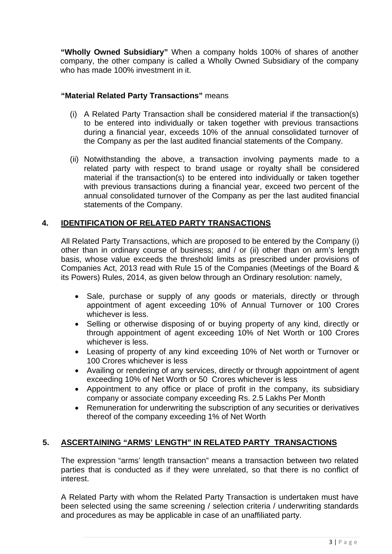**"Wholly Owned Subsidiary"** When a company holds 100% of shares of another company, the other company is called a Wholly Owned Subsidiary of the company who has made 100% investment in it.

# **"Material Related Party Transactions"** means

- (i) A Related Party Transaction shall be considered material if the transaction(s) to be entered into individually or taken together with previous transactions during a financial year, exceeds 10% of the annual consolidated turnover of the Company as per the last audited financial statements of the Company.
- (ii) Notwithstanding the above, a transaction involving payments made to a related party with respect to brand usage or royalty shall be considered material if the transaction(s) to be entered into individually or taken together with previous transactions during a financial year, exceed two percent of the annual consolidated turnover of the Company as per the last audited financial statements of the Company.

### **4. IDENTIFICATION OF RELATED PARTY TRANSACTIONS**

All Related Party Transactions, which are proposed to be entered by the Company (i) other than in ordinary course of business; and / or (ii) other than on arm's length basis, whose value exceeds the threshold limits as prescribed under provisions of Companies Act, 2013 read with Rule 15 of the Companies (Meetings of the Board & its Powers) Rules, 2014, as given below through an Ordinary resolution: namely,

- Sale, purchase or supply of any goods or materials, directly or through appointment of agent exceeding 10% of Annual Turnover or 100 Crores whichever is less.
- Selling or otherwise disposing of or buying property of any kind, directly or through appointment of agent exceeding 10% of Net Worth or 100 Crores whichever is less.
- Leasing of property of any kind exceeding 10% of Net worth or Turnover or 100 Crores whichever is less
- Availing or rendering of any services, directly or through appointment of agent exceeding 10% of Net Worth or 50 Crores whichever is less
- Appointment to any office or place of profit in the company, its subsidiary company or associate company exceeding Rs. 2.5 Lakhs Per Month
- Remuneration for underwriting the subscription of any securities or derivatives thereof of the company exceeding 1% of Net Worth

### **5. ASCERTAINING "ARMS' LENGTH" IN RELATED PARTY TRANSACTIONS**

The expression "arms' length transaction" means a transaction between two related parties that is conducted as if they were unrelated, so that there is no conflict of interest.

A Related Party with whom the Related Party Transaction is undertaken must have been selected using the same screening / selection criteria / underwriting standards and procedures as may be applicable in case of an unaffiliated party.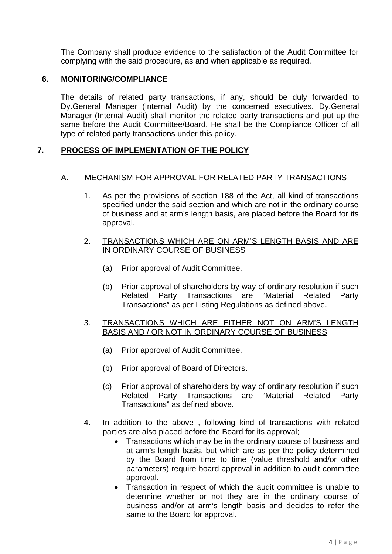The Company shall produce evidence to the satisfaction of the Audit Committee for complying with the said procedure, as and when applicable as required.

### **6. MONITORING/COMPLIANCE**

The details of related party transactions, if any, should be duly forwarded to Dy.General Manager (Internal Audit) by the concerned executives. Dy.General Manager (Internal Audit) shall monitor the related party transactions and put up the same before the Audit Committee/Board. He shall be the Compliance Officer of all type of related party transactions under this policy.

## **7. PROCESS OF IMPLEMENTATION OF THE POLICY**

## A. MECHANISM FOR APPROVAL FOR RELATED PARTY TRANSACTIONS

1. As per the provisions of section 188 of the Act, all kind of transactions specified under the said section and which are not in the ordinary course of business and at arm's length basis, are placed before the Board for its approval.

## 2. TRANSACTIONS WHICH ARE ON ARM'S LENGTH BASIS AND ARE IN ORDINARY COURSE OF BUSINESS

- (a) Prior approval of Audit Committee.
- (b) Prior approval of shareholders by way of ordinary resolution if such Related Party Transactions are "Material Related Party Transactions" as per Listing Regulations as defined above.

## 3. TRANSACTIONS WHICH ARE EITHER NOT ON ARM'S LENGTH BASIS AND / OR NOT IN ORDINARY COURSE OF BUSINESS

- (a) Prior approval of Audit Committee.
- (b) Prior approval of Board of Directors.
- (c) Prior approval of shareholders by way of ordinary resolution if such Related Party Transactions are "Material Related Party Transactions" as defined above.
- 4. In addition to the above , following kind of transactions with related parties are also placed before the Board for its approval;
	- Transactions which may be in the ordinary course of business and at arm's length basis, but which are as per the policy determined by the Board from time to time (value threshold and/or other parameters) require board approval in addition to audit committee approval.
	- Transaction in respect of which the audit committee is unable to determine whether or not they are in the ordinary course of business and/or at arm's length basis and decides to refer the same to the Board for approval.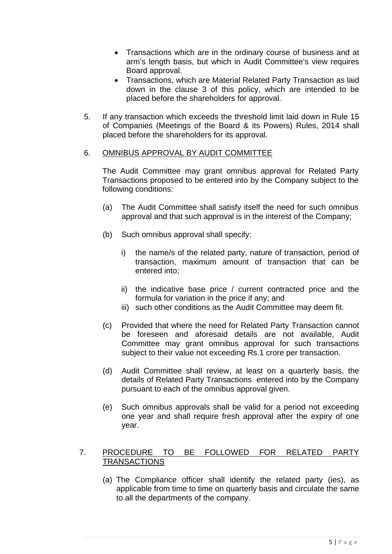- Transactions which are in the ordinary course of business and at arm's length basis, but which in Audit Committee's view requires Board approval.
- Transactions, which are Material Related Party Transaction as laid down in the clause 3 of this policy, which are intended to be placed before the shareholders for approval.
- 5. If any transaction which exceeds the threshold limit laid down in Rule 15 of Companies (Meetings of the Board & its Powers) Rules, 2014 shall placed before the shareholders for its approval.

#### 6. OMNIBUS APPROVAL BY AUDIT COMMITTEE

The Audit Committee may grant omnibus approval for Related Party Transactions proposed to be entered into by the Company subject to the following conditions:

- (a) The Audit Committee shall satisfy itself the need for such omnibus approval and that such approval is in the interest of the Company;
- (b) Such omnibus approval shall specify:
	- i) the name/s of the related party, nature of transaction, period of transaction, maximum amount of transaction that can be entered into;
	- ii) the indicative base price / current contracted price and the formula for variation in the price if any; and
	- iii) such other conditions as the Audit Committee may deem fit.
- (c) Provided that where the need for Related Party Transaction cannot be foreseen and aforesaid details are not available, Audit Committee may grant omnibus approval for such transactions subject to their value not exceeding Rs.1 crore per transaction.
- (d) Audit Committee shall review, at least on a quarterly basis, the details of Related Party Transactions entered into by the Company pursuant to each of the omnibus approval given.
- (e) Such omnibus approvals shall be valid for a period not exceeding one year and shall require fresh approval after the expiry of one year.

## 7. PROCEDURE TO BE FOLLOWED FOR RELATED PARTY **TRANSACTIONS**

(a) The Compliance officer shall identify the related party (ies), as applicable from time to time on quarterly basis and circulate the same to all the departments of the company.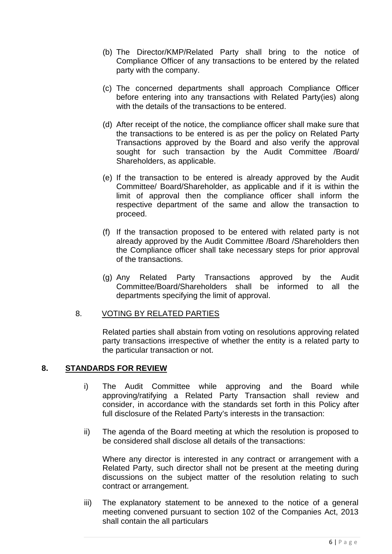- (b) The Director/KMP/Related Party shall bring to the notice of Compliance Officer of any transactions to be entered by the related party with the company.
- (c) The concerned departments shall approach Compliance Officer before entering into any transactions with Related Party(ies) along with the details of the transactions to be entered.
- (d) After receipt of the notice, the compliance officer shall make sure that the transactions to be entered is as per the policy on Related Party Transactions approved by the Board and also verify the approval sought for such transaction by the Audit Committee /Board/ Shareholders, as applicable.
- (e) If the transaction to be entered is already approved by the Audit Committee/ Board/Shareholder, as applicable and if it is within the limit of approval then the compliance officer shall inform the respective department of the same and allow the transaction to proceed.
- (f) If the transaction proposed to be entered with related party is not already approved by the Audit Committee /Board /Shareholders then the Compliance officer shall take necessary steps for prior approval of the transactions.
- (g) Any Related Party Transactions approved by the Audit Committee/Board/Shareholders shall be informed to all the departments specifying the limit of approval.

### 8. VOTING BY RELATED PARTIES

Related parties shall abstain from voting on resolutions approving related party transactions irrespective of whether the entity is a related party to the particular transaction or not.

### **8. STANDARDS FOR REVIEW**

- i) The Audit Committee while approving and the Board while approving/ratifying a Related Party Transaction shall review and consider, in accordance with the standards set forth in this Policy after full disclosure of the Related Party's interests in the transaction:
- ii) The agenda of the Board meeting at which the resolution is proposed to be considered shall disclose all details of the transactions:

Where any director is interested in any contract or arrangement with a Related Party, such director shall not be present at the meeting during discussions on the subject matter of the resolution relating to such contract or arrangement.

iii) The explanatory statement to be annexed to the notice of a general meeting convened pursuant to section 102 of the Companies Act, 2013 shall contain the all particulars